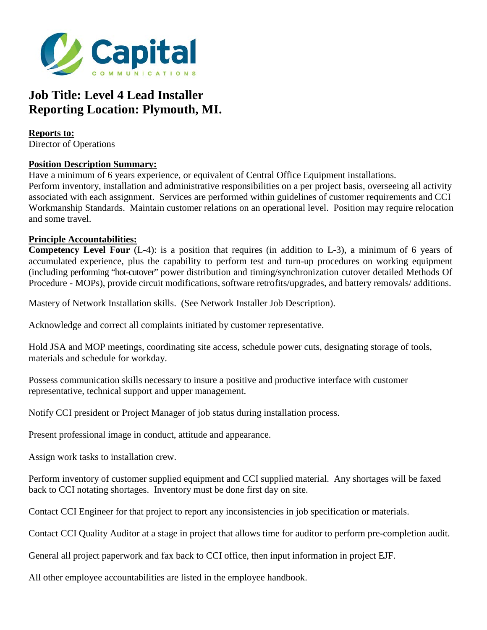

## **Job Title: Level 4 Lead Installer Reporting Location: Plymouth, MI.**

**Reports to:**  Director of Operations

## **Position Description Summary:**

Have a minimum of 6 years experience, or equivalent of Central Office Equipment installations. Perform inventory, installation and administrative responsibilities on a per project basis, overseeing all activity associated with each assignment. Services are performed within guidelines of customer requirements and CCI Workmanship Standards. Maintain customer relations on an operational level. Position may require relocation and some travel.

## **Principle Accountabilities:**

**Competency Level Four** (L-4): is a position that requires (in addition to L-3), a minimum of 6 years of accumulated experience, plus the capability to perform test and turn-up procedures on working equipment (including performing "hot-cutover" power distribution and timing/synchronization cutover detailed Methods Of Procedure - MOPs), provide circuit modifications, software retrofits/upgrades, and battery removals/ additions.

Mastery of Network Installation skills. (See Network Installer Job Description).

Acknowledge and correct all complaints initiated by customer representative.

Hold JSA and MOP meetings, coordinating site access, schedule power cuts, designating storage of tools, materials and schedule for workday.

Possess communication skills necessary to insure a positive and productive interface with customer representative, technical support and upper management.

Notify CCI president or Project Manager of job status during installation process.

Present professional image in conduct, attitude and appearance.

Assign work tasks to installation crew.

Perform inventory of customer supplied equipment and CCI supplied material. Any shortages will be faxed back to CCI notating shortages. Inventory must be done first day on site.

Contact CCI Engineer for that project to report any inconsistencies in job specification or materials.

Contact CCI Quality Auditor at a stage in project that allows time for auditor to perform pre-completion audit.

General all project paperwork and fax back to CCI office, then input information in project EJF.

All other employee accountabilities are listed in the employee handbook.